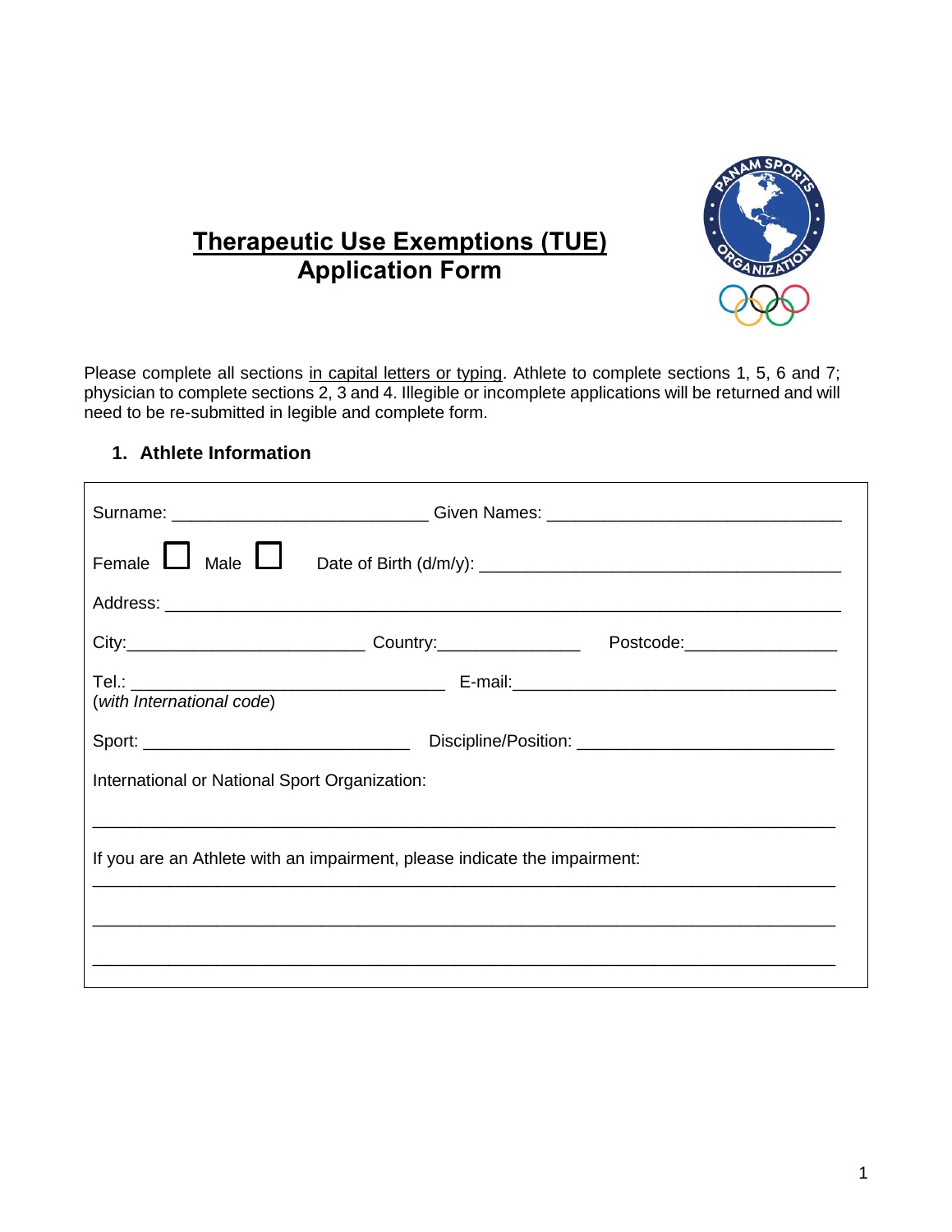

# **Therapeutic Use Exemptions (TUE) Application Form**

Please complete all sections in capital letters or typing. Athlete to complete sections 1, 5, 6 and 7; physician to complete sections 2, 3 and 4. Illegible or incomplete applications will be returned and will need to be re-submitted in legible and complete form.

#### **1. Athlete Information**

|                                                                           |  | Surname: _______________________________Given Names: ___________________________ |
|---------------------------------------------------------------------------|--|----------------------------------------------------------------------------------|
| Female $\Box$ Male $\Box$                                                 |  |                                                                                  |
|                                                                           |  |                                                                                  |
|                                                                           |  |                                                                                  |
| (with International code)                                                 |  |                                                                                  |
|                                                                           |  |                                                                                  |
| International or National Sport Organization:                             |  |                                                                                  |
|                                                                           |  |                                                                                  |
| If you are an Athlete with an impairment, please indicate the impairment: |  |                                                                                  |
|                                                                           |  |                                                                                  |
|                                                                           |  |                                                                                  |
|                                                                           |  |                                                                                  |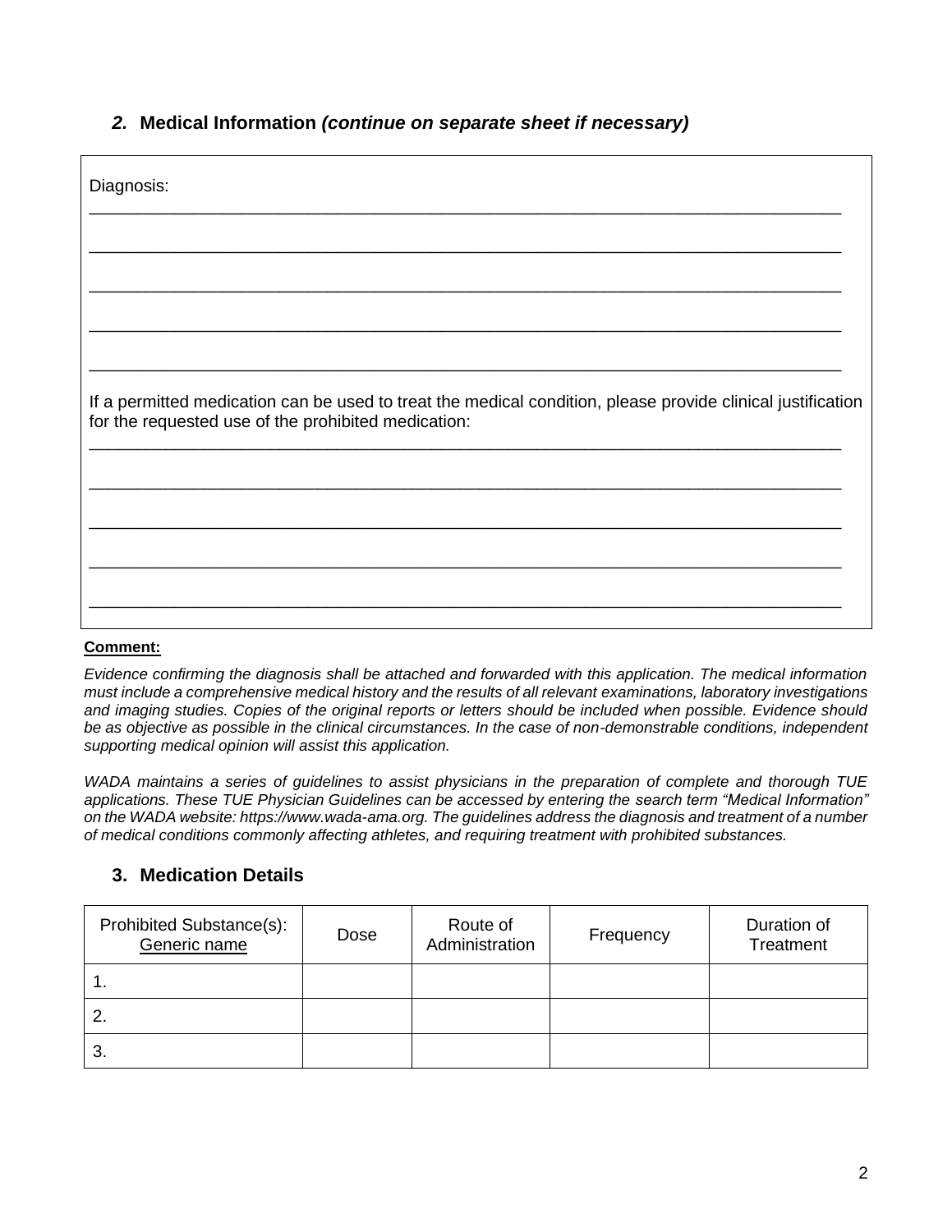#### *2.* **Medical Information** *(continue on separate sheet if necessary)*

| Diagnosis:                                                                                                                                                         |
|--------------------------------------------------------------------------------------------------------------------------------------------------------------------|
|                                                                                                                                                                    |
|                                                                                                                                                                    |
|                                                                                                                                                                    |
| If a permitted medication can be used to treat the medical condition, please provide clinical justification<br>for the requested use of the prohibited medication: |
|                                                                                                                                                                    |
|                                                                                                                                                                    |
|                                                                                                                                                                    |
|                                                                                                                                                                    |

#### **Comment:**

*Evidence confirming the diagnosis shall be attached and forwarded with this application. The medical information must include a comprehensive medical history and the results of all relevant examinations, laboratory investigations and imaging studies. Copies of the original reports or letters should be included when possible. Evidence should be as objective as possible in the clinical circumstances. In the case of non-demonstrable conditions, independent supporting medical opinion will assist this application.*

*WADA maintains a series of guidelines to assist physicians in the preparation of complete and thorough TUE applications. These TUE Physician Guidelines can be accessed by entering the search term "Medical Information" on the WADA website: https://www.wada-ama.org. The guidelines address the diagnosis and treatment of a number of medical conditions commonly affecting athletes, and requiring treatment with prohibited substances.*

### **3. Medication Details**

| Prohibited Substance(s):<br>Generic name | Dose | Route of<br>Administration | Frequency | Duration of<br>Treatment |
|------------------------------------------|------|----------------------------|-----------|--------------------------|
|                                          |      |                            |           |                          |
|                                          |      |                            |           |                          |
| 3.                                       |      |                            |           |                          |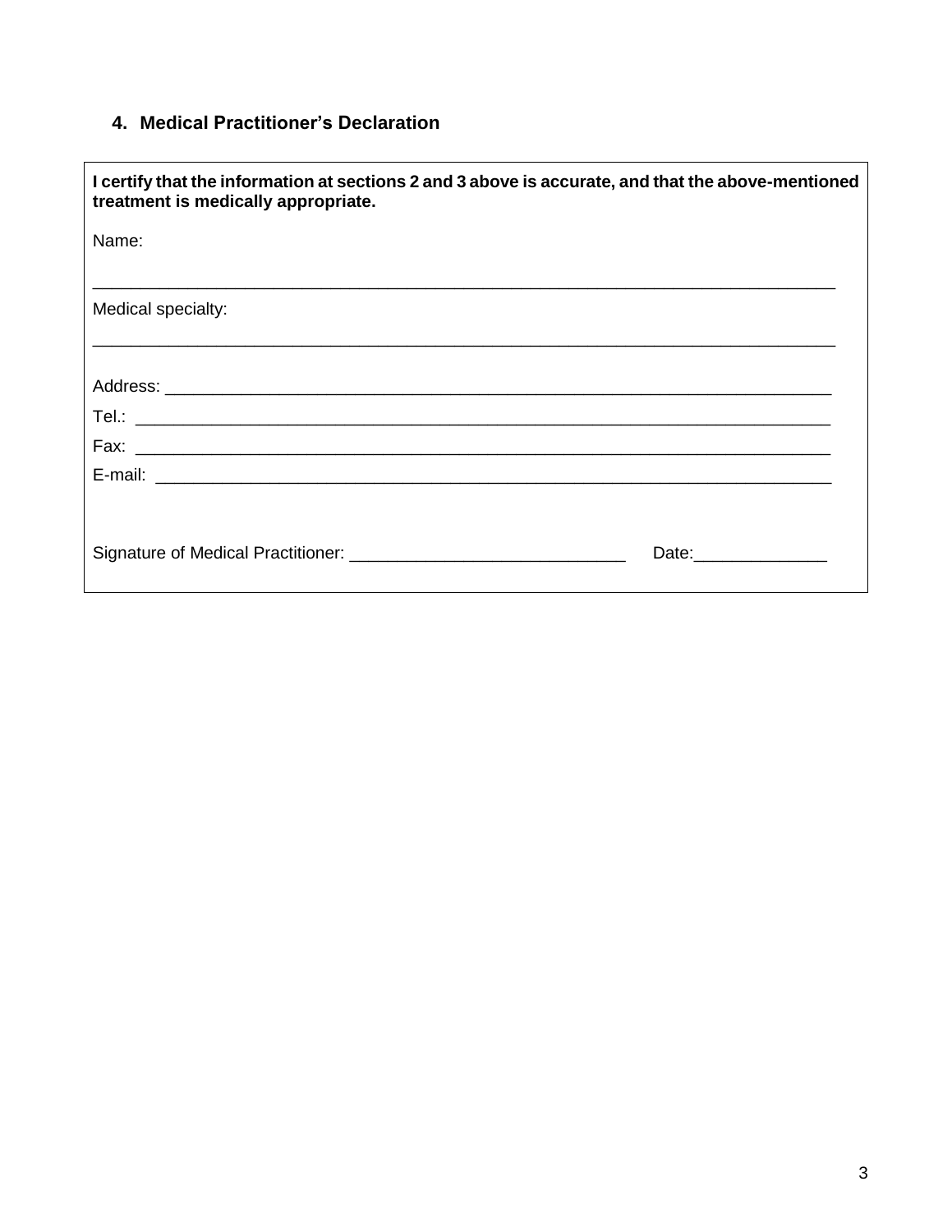### **4. Medical Practitioner's Declaration**

| I certify that the information at sections 2 and 3 above is accurate, and that the above-mentioned<br>treatment is medically appropriate. |  |
|-------------------------------------------------------------------------------------------------------------------------------------------|--|
| Name:                                                                                                                                     |  |
| Medical specialty:                                                                                                                        |  |
|                                                                                                                                           |  |
|                                                                                                                                           |  |
|                                                                                                                                           |  |
|                                                                                                                                           |  |
| Date: <u>________________</u>                                                                                                             |  |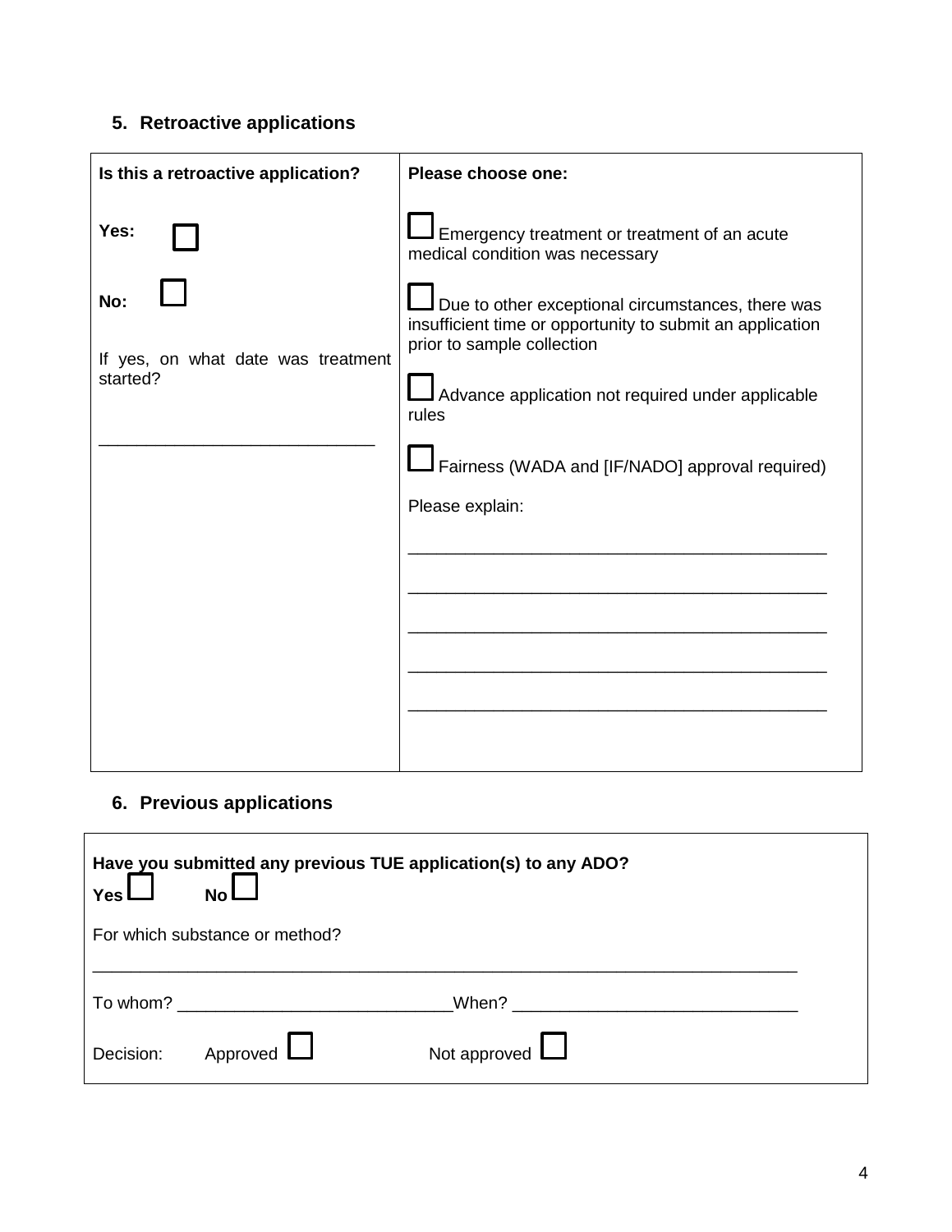## **5. Retroactive applications**

| Is this a retroactive application?                            | Please choose one:                                                                                                                                                                                                                                                                                                                               |  |
|---------------------------------------------------------------|--------------------------------------------------------------------------------------------------------------------------------------------------------------------------------------------------------------------------------------------------------------------------------------------------------------------------------------------------|--|
| Yes:<br>No:<br>If yes, on what date was treatment<br>started? | Emergency treatment or treatment of an acute<br>medical condition was necessary<br>Due to other exceptional circumstances, there was<br>insufficient time or opportunity to submit an application<br>prior to sample collection<br>Advance application not required under applicable<br>rules<br>Fairness (WADA and [IF/NADO] approval required) |  |
|                                                               | Please explain:                                                                                                                                                                                                                                                                                                                                  |  |

## **6. Previous applications**

F

| Have you submitted any previous TUE application(s) to any ADO?<br>Yes l<br><b>No</b> |                                                                                                                 |                                                                                                                                                                                                                               |  |
|--------------------------------------------------------------------------------------|-----------------------------------------------------------------------------------------------------------------|-------------------------------------------------------------------------------------------------------------------------------------------------------------------------------------------------------------------------------|--|
|                                                                                      | For which substance or method?                                                                                  |                                                                                                                                                                                                                               |  |
|                                                                                      | To whom? The state of the state of the state of the state of the state of the state of the state of the state o | When? A contract the contract of the contract of the contract of the contract of the contract of the contract of the contract of the contract of the contract of the contract of the contract of the contract of the contract |  |
| Decision:                                                                            | Approved $\Box$                                                                                                 | Not approved $\Box$                                                                                                                                                                                                           |  |